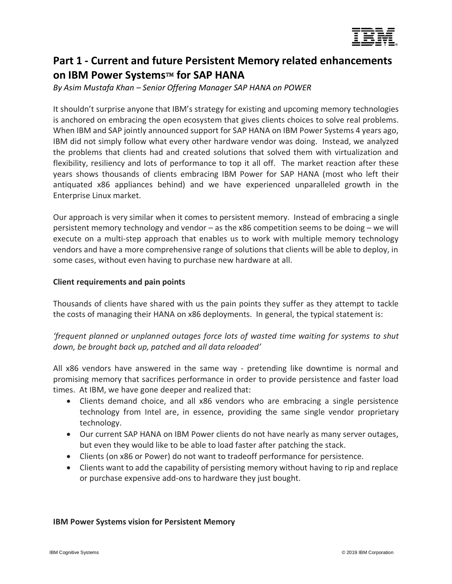

# **Part 1 - Current and future Persistent Memory related enhancements on IBM Power Systems**™ **for SAP HANA**

*By Asim Mustafa Khan – Senior Offering Manager SAP HANA on POWER*

It shouldn't surprise anyone that IBM's strategy for existing and upcoming memory technologies is anchored on embracing the open ecosystem that gives clients choices to solve real problems. When IBM and SAP jointly announced support for SAP HANA on IBM Power Systems 4 years ago, IBM did not simply follow what every other hardware vendor was doing. Instead, we analyzed the problems that clients had and created solutions that solved them with virtualization and flexibility, resiliency and lots of performance to top it all off. The market reaction after these years shows thousands of clients embracing IBM Power for SAP HANA (most who left their antiquated x86 appliances behind) and we have experienced unparalleled growth in the Enterprise Linux market.

Our approach is very similar when it comes to persistent memory. Instead of embracing a single persistent memory technology and vendor – as the x86 competition seems to be doing – we will execute on a multi-step approach that enables us to work with multiple memory technology vendors and have a more comprehensive range of solutions that clients will be able to deploy, in some cases, without even having to purchase new hardware at all.

### **Client requirements and pain points**

Thousands of clients have shared with us the pain points they suffer as they attempt to tackle the costs of managing their HANA on x86 deployments. In general, the typical statement is:

*'frequent planned or unplanned outages force lots of wasted time waiting for systems to shut down, be brought back up, patched and all data reloaded'*

All x86 vendors have answered in the same way - pretending like downtime is normal and promising memory that sacrifices performance in order to provide persistence and faster load times. At IBM, we have gone deeper and realized that:

- Clients demand choice, and all x86 vendors who are embracing a single persistence technology from Intel are, in essence, providing the same single vendor proprietary technology.
- Our current SAP HANA on IBM Power clients do not have nearly as many server outages, but even they would like to be able to load faster after patching the stack.
- Clients (on x86 or Power) do not want to tradeoff performance for persistence.
- Clients want to add the capability of persisting memory without having to rip and replace or purchase expensive add-ons to hardware they just bought.

#### **IBM Power Systems vision for Persistent Memory**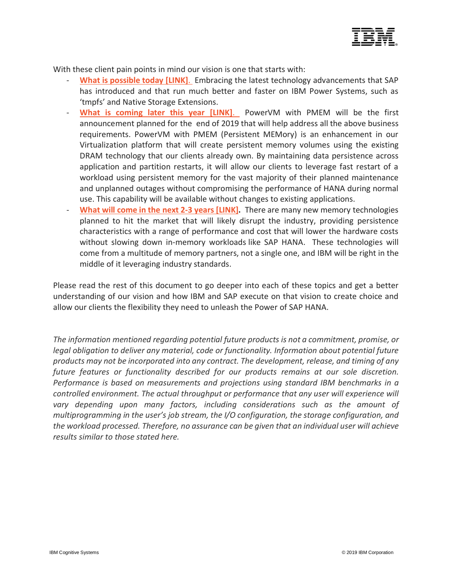

With these client pain points in mind our vision is one that starts with:

- **[What is possible today](#page-2-0) [LINK]**. Embracing the latest technology advancements that SAP has introduced and that run much better and faster on IBM Power Systems, such as 'tmpfs' and Native Storage Extensions.
- **[What is coming later this year](#page-6-0) [LINK]**. PowerVM with PMEM will be the first announcement planned for the end of 2019 that will help address all the above business requirements. PowerVM with PMEM (Persistent MEMory) is an enhancement in our Virtualization platform that will create persistent memory volumes using the existing DRAM technology that our clients already own. By maintaining data persistence across application and partition restarts, it will allow our clients to leverage fast restart of a workload using persistent memory for the vast majority of their planned maintenance and unplanned outages without compromising the performance of HANA during normal use. This capability will be available without changes to existing applications.
- **[What will come in the next 2-3 years](#page-10-0) [LINK].** There are many new memory technologies planned to hit the market that will likely disrupt the industry, providing persistence characteristics with a range of performance and cost that will lower the hardware costs without slowing down in-memory workloads like SAP HANA. These technologies will come from a multitude of memory partners, not a single one, and IBM will be right in the middle of it leveraging industry standards.

Please read the rest of this document to go deeper into each of these topics and get a better understanding of our vision and how IBM and SAP execute on that vision to create choice and allow our clients the flexibility they need to unleash the Power of SAP HANA.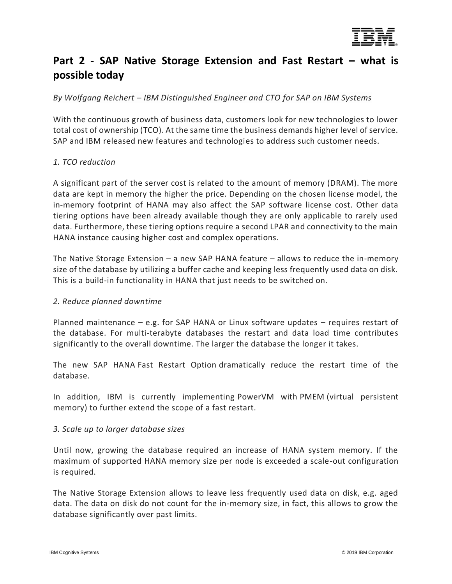

# <span id="page-2-0"></span>**Part 2 - SAP Native Storage Extension and Fast Restart – what is possible today**

*By Wolfgang Reichert – IBM Distinguished Engineer and CTO for SAP on IBM Systems*

With the continuous growth of business data, customers look for new technologies to lower total cost of ownership (TCO). At the same time the business demands higher level of service. SAP and IBM released new features and technologies to address such customer needs.

#### *1. TCO reduction*

A significant part of the server cost is related to the amount of memory (DRAM). The more data are kept in memory the higher the price. Depending on the chosen license model, the in-memory footprint of HANA may also affect the SAP software license cost. Other data tiering options have been already available though they are only applicable to rarely used data. Furthermore, these tiering options require a second LPAR and connectivity to the main HANA instance causing higher cost and complex operations.

The Native Storage Extension – a new SAP HANA feature – allows to reduce the in-memory size of the database by utilizing a buffer cache and keeping less frequently used data on disk. This is a build-in functionality in HANA that just needs to be switched on.

#### *2. Reduce planned downtime*

Planned maintenance – e.g. for SAP HANA or Linux software updates – requires restart of the database. For multi-terabyte databases the restart and data load time contributes significantly to the overall downtime. The larger the database the longer it takes.

The new SAP HANA Fast Restart Option dramatically reduce the restart time of the database.

In addition, IBM is currently implementing PowerVM with PMEM (virtual persistent memory) to further extend the scope of a fast restart.

#### *3. Scale up to larger database sizes*

Until now, growing the database required an increase of HANA system memory. If the maximum of supported HANA memory size per node is exceeded a scale-out configuration is required.

The Native Storage Extension allows to leave less frequently used data on disk, e.g. aged data. The data on disk do not count for the in-memory size, in fact, this allows to grow the database significantly over past limits.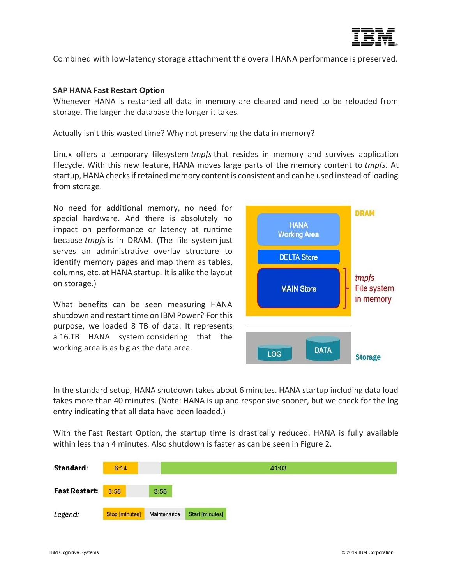

Combined with low-latency storage attachment the overall HANA performance is preserved.

#### **SAP HANA Fast Restart Option**

Whenever HANA is restarted all data in memory are cleared and need to be reloaded from storage. The larger the database the longer it takes.

Actually isn't this wasted time? Why not preserving the data in memory?

Linux offers a temporary filesystem *tmpfs* that resides in memory and survives application lifecycle. With this new feature, HANA moves large parts of the memory content to *tmpfs*. At startup, HANA checks if retained memory content is consistent and can be used instead of loading from storage.

No need for additional memory, no need for special hardware. And there is absolutely no impact on performance or latency at runtime because *tmpfs* is in DRAM. (The file system just serves an administrative overlay structure to identify memory pages and map them as tables, columns, etc. at HANA startup. It is alike the layout on storage.)

What benefits can be seen measuring HANA shutdown and restart time on IBM Power? For this purpose, we loaded 8 TB of data. It represents a 16.TB HANA system considering that the working area is as big as the data area.



In the standard setup, HANA shutdown takes about 6 minutes. HANA startup including data load takes more than 40 minutes. (Note: HANA is up and responsive sooner, but we check for the log entry indicating that all data have been loaded.)

With the Fast Restart Option, the startup time is drastically reduced. HANA is fully available within less than 4 minutes. Also shutdown is faster as can be seen in Figure 2.

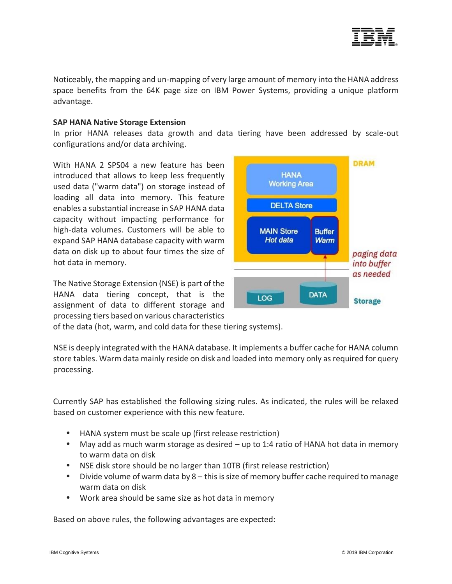

Noticeably, the mapping and un-mapping of very large amount of memory into the HANA address space benefits from the 64K page size on IBM Power Systems, providing a unique platform advantage.

#### **SAP HANA Native Storage Extension**

In prior HANA releases data growth and data tiering have been addressed by scale-out configurations and/or data archiving.

With HANA 2 SPS04 a new feature has been introduced that allows to keep less frequently used data ("warm data") on storage instead of loading all data into memory. This feature enables a substantial increase in SAP HANA data capacity without impacting performance for high-data volumes. Customers will be able to expand SAP HANA database capacity with warm data on disk up to about four times the size of hot data in memory.

The Native Storage Extension (NSE) is part of the HANA data tiering concept, that is the assignment of data to different storage and processing tiers based on various characteristics



of the data (hot, warm, and cold data for these tiering systems).

NSE is deeply integrated with the HANA database. It implements a buffer cache for HANA column store tables. Warm data mainly reside on disk and loaded into memory only as required for query processing.

Currently SAP has established the following sizing rules. As indicated, the rules will be relaxed based on customer experience with this new feature.

- HANA system must be scale up (first release restriction)
- May add as much warm storage as desired up to 1:4 ratio of HANA hot data in memory to warm data on disk
- NSE disk store should be no larger than 10TB (first release restriction)
- Divide volume of warm data by 8 this is size of memory buffer cache required to manage warm data on disk
- Work area should be same size as hot data in memory

Based on above rules, the following advantages are expected: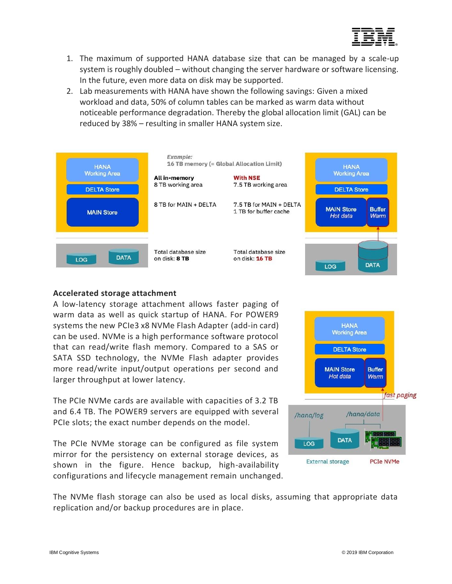

- 1. The maximum of supported HANA database size that can be managed by a scale-up system is roughly doubled – without changing the server hardware or software licensing. In the future, even more data on disk may be supported.
- 2. Lab measurements with HANA have shown the following savings: Given a mixed workload and data, 50% of column tables can be marked as warm data without noticeable performance degradation. Thereby the global allocation limit (GAL) can be reduced by 38% – resulting in smaller HANA system size.



#### **Accelerated storage attachment**

A low-latency storage attachment allows faster paging of warm data as well as quick startup of HANA. For POWER9 systems the new PCIe3 x8 NVMe Flash Adapter (add-in card) can be used. NVMe is a high performance software protocol that can read/write flash memory. Compared to a SAS or SATA SSD technology, the NVMe Flash adapter provides more read/write input/output operations per second and larger throughput at lower latency.

The PCIe NVMe cards are available with capacities of 3.2 TB and 6.4 TB. The POWER9 servers are equipped with several PCIe slots; the exact number depends on the model.

The PCIe NVMe storage can be configured as file system mirror for the persistency on external storage devices, as shown in the figure. Hence backup, high-availability configurations and lifecycle management remain unchanged.



The NVMe flash storage can also be used as local disks, assuming that appropriate data replication and/or backup procedures are in place.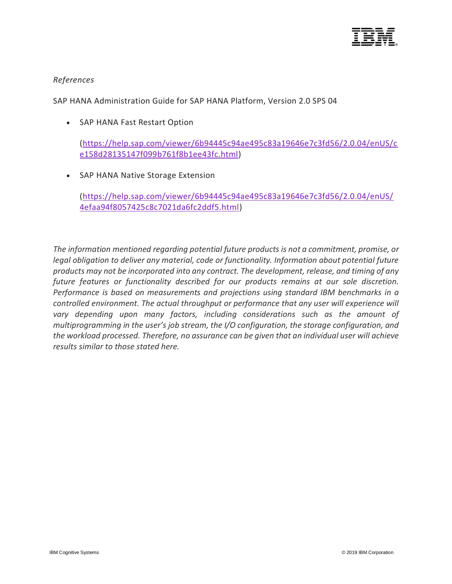

### *References*

SAP HANA Administration Guide for SAP HANA Platform, Version 2.0 SPS 04

• SAP HANA Fast Restart Option

[\(https://help.sap.com/viewer/6b94445c94ae495c83a19646e7c3fd56/2.0.04/enUS/c](https://help.sap.com/viewer/6b94445c94ae495c83a19646e7c3fd56/2.0.04/en-US/ce158d28135147f099b761f8b1ee43fc.html) [e158d28135147f099b761f8b1ee43fc.html\)](https://help.sap.com/viewer/6b94445c94ae495c83a19646e7c3fd56/2.0.04/en-US/ce158d28135147f099b761f8b1ee43fc.html)

• SAP HANA Native Storage Extension

<span id="page-6-0"></span>[\(https://help.sap.com/viewer/6b94445c94ae495c83a19646e7c3fd56/2.0.04/enUS/](https://help.sap.com/viewer/6b94445c94ae495c83a19646e7c3fd56/2.0.04/en-US/4efaa94f8057425c8c7021da6fc2ddf5.html) [4efaa94f8057425c8c7021da6fc2ddf5.html\)](https://help.sap.com/viewer/6b94445c94ae495c83a19646e7c3fd56/2.0.04/en-US/4efaa94f8057425c8c7021da6fc2ddf5.html)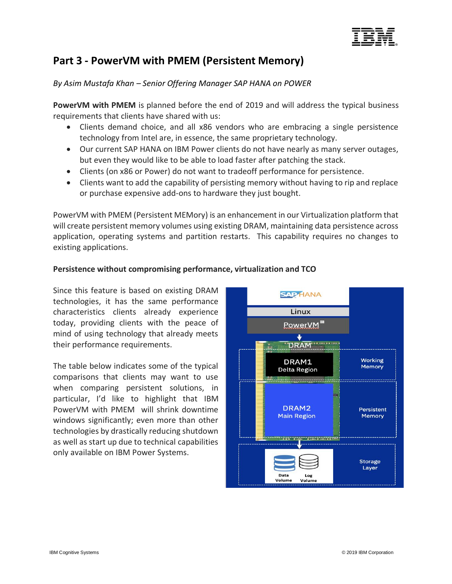

## **Part 3 - PowerVM with PMEM (Persistent Memory)**

## *By Asim Mustafa Khan – Senior Offering Manager SAP HANA on POWER*

**PowerVM with PMEM** is planned before the end of 2019 and will address the typical business requirements that clients have shared with us:

- Clients demand choice, and all x86 vendors who are embracing a single persistence technology from Intel are, in essence, the same proprietary technology.
- Our current SAP HANA on IBM Power clients do not have nearly as many server outages, but even they would like to be able to load faster after patching the stack.
- Clients (on x86 or Power) do not want to tradeoff performance for persistence.
- Clients want to add the capability of persisting memory without having to rip and replace or purchase expensive add-ons to hardware they just bought.

PowerVM with PMEM (Persistent MEMory) is an enhancement in our Virtualization platform that will create persistent memory volumes using existing DRAM, maintaining data persistence across application, operating systems and partition restarts. This capability requires no changes to existing applications.

#### **Persistence without compromising performance, virtualization and TCO**

Since this feature is based on existing DRAM technologies, it has the same performance characteristics clients already experience today, providing clients with the peace of mind of using technology that already meets their performance requirements.

The table below indicates some of the typical comparisons that clients may want to use when comparing persistent solutions, in particular, I'd like to highlight that IBM PowerVM with PMEM will shrink downtime windows significantly; even more than other technologies by drastically reducing shutdown as well as start up due to technical capabilities only available on IBM Power Systems.

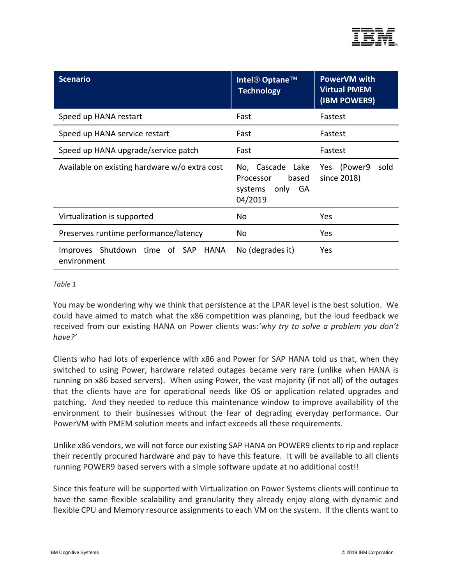

| <b>Scenario</b>                                      | <b>Intel® Optane™</b><br><b>Technology</b>                           | <b>PowerVM with</b><br><b>Virtual PMEM</b><br>(IBM POWER9) |
|------------------------------------------------------|----------------------------------------------------------------------|------------------------------------------------------------|
| Speed up HANA restart                                | Fast                                                                 | Fastest                                                    |
| Speed up HANA service restart                        | Fast                                                                 | Fastest                                                    |
| Speed up HANA upgrade/service patch                  | Fast                                                                 | Fastest                                                    |
| Available on existing hardware w/o extra cost        | No, Cascade Lake<br>based<br>Processor<br>systems only GA<br>04/2019 | Yes (Power9)<br>sold<br>since 2018)                        |
| Virtualization is supported                          | No                                                                   | Yes                                                        |
| Preserves runtime performance/latency                | No                                                                   | Yes                                                        |
| Improves Shutdown time of SAP<br>HANA<br>environment | No (degrades it)                                                     | Yes                                                        |

#### *Table 1*

You may be wondering why we think that persistence at the LPAR level is the best solution. We could have aimed to match what the x86 competition was planning, but the loud feedback we received from our existing HANA on Power clients was:*'why try to solve a problem you don't have?'*

Clients who had lots of experience with x86 and Power for SAP HANA told us that, when they switched to using Power, hardware related outages became very rare (unlike when HANA is running on x86 based servers). When using Power, the vast majority (if not all) of the outages that the clients have are for operational needs like OS or application related upgrades and patching. And they needed to reduce this maintenance window to improve availability of the environment to their businesses without the fear of degrading everyday performance. Our PowerVM with PMEM solution meets and infact exceeds all these requirements.

Unlike x86 vendors, we will not force our existing SAP HANA on POWER9 clients to rip and replace their recently procured hardware and pay to have this feature. It will be available to all clients running POWER9 based servers with a simple software update at no additional cost!!

Since this feature will be supported with Virtualization on Power Systems clients will continue to have the same flexible scalability and granularity they already enjoy along with dynamic and flexible CPU and Memory resource assignments to each VM on the system. If the clients want to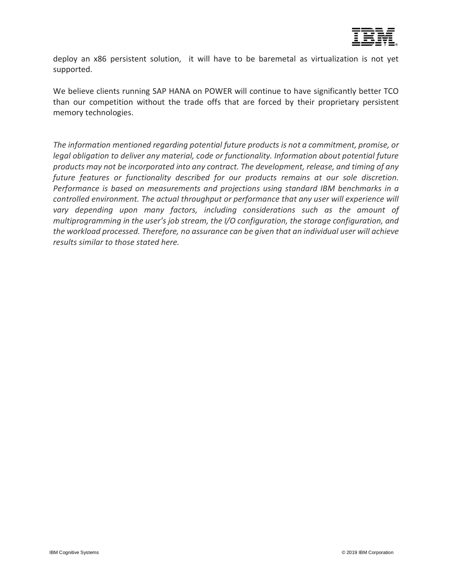

deploy an x86 persistent solution, it will have to be baremetal as virtualization is not yet supported.

We believe clients running SAP HANA on POWER will continue to have significantly better TCO than our competition without the trade offs that are forced by their proprietary persistent memory technologies.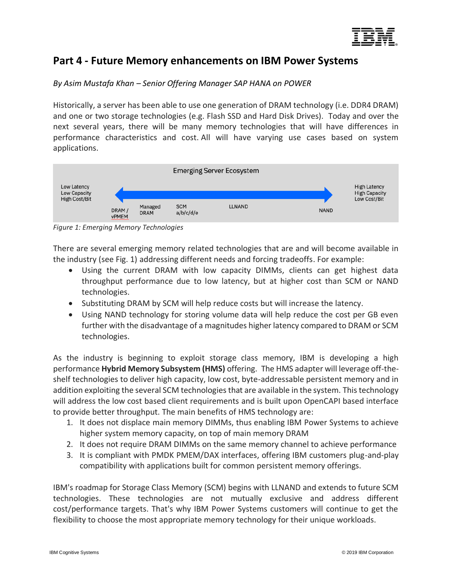

## <span id="page-10-0"></span>**Part 4 - Future Memory enhancements on IBM Power Systems**

## *By Asim Mustafa Khan – Senior Offering Manager SAP HANA on POWER*

Historically, a server has been able to use one generation of DRAM technology (i.e. DDR4 DRAM) and one or two storage technologies (e.g. Flash SSD and Hard Disk Drives). Today and over the next several years, there will be many memory technologies that will have differences in performance characteristics and cost. All will have varying use cases based on system applications.



*Figure 1: Emerging Memory Technologies*

There are several emerging memory related technologies that are and will become available in the industry (see Fig. 1) addressing different needs and forcing tradeoffs. For example:

- Using the current DRAM with low capacity DIMMs, clients can get highest data throughput performance due to low latency, but at higher cost than SCM or NAND technologies.
- Substituting DRAM by SCM will help reduce costs but will increase the latency.
- Using NAND technology for storing volume data will help reduce the cost per GB even further with the disadvantage of a magnitudes higher latency compared to DRAM or SCM technologies.

As the industry is beginning to exploit storage class memory, IBM is developing a high performance **Hybrid Memory Subsystem (HMS)** offering. The HMS adapter will leverage off-theshelf technologies to deliver high capacity, low cost, byte-addressable persistent memory and in addition exploiting the several SCM technologies that are available in the system. This technology will address the low cost based client requirements and is built upon OpenCAPI based interface to provide better throughput. The main benefits of HMS technology are:

- 1. It does not displace main memory DIMMs, thus enabling IBM Power Systems to achieve higher system memory capacity, on top of main memory DRAM
- 2. It does not require DRAM DIMMs on the same memory channel to achieve performance
- 3. It is compliant with PMDK PMEM/DAX interfaces, offering IBM customers plug-and-play compatibility with applications built for common persistent memory offerings.

IBM's roadmap for Storage Class Memory (SCM) begins with LLNAND and extends to future SCM technologies. These technologies are not mutually exclusive and address different cost/performance targets. That's why IBM Power Systems customers will continue to get the flexibility to choose the most appropriate memory technology for their unique workloads.